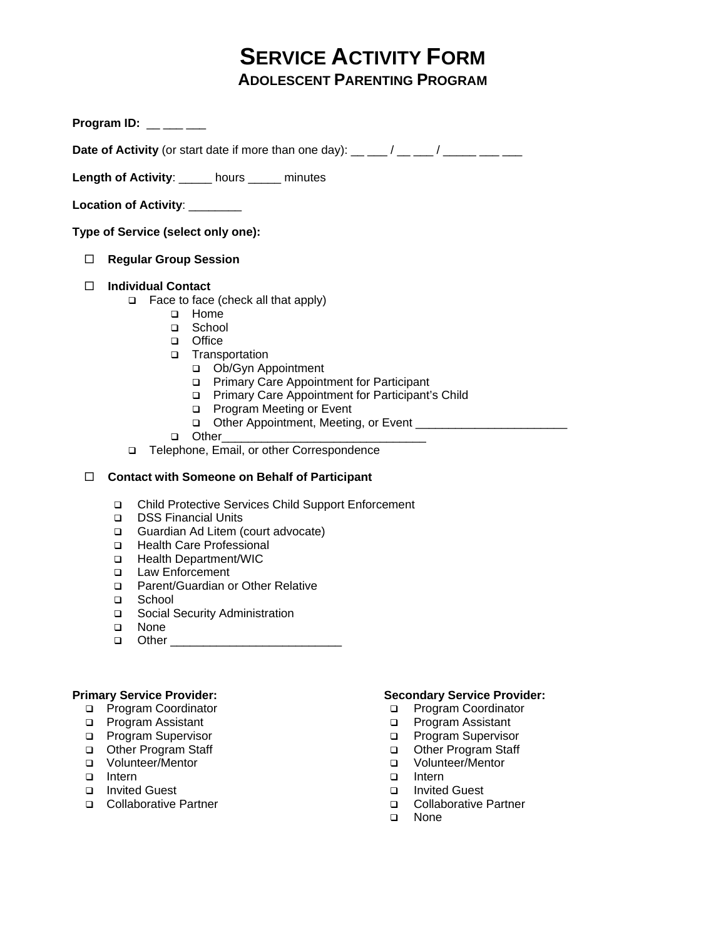# **SERVICE ACTIVITY FORM ADOLESCENT PARENTING PROGRAM**

**Program ID:** \_\_ \_\_ \_\_

**Date of Activity** (or start date if more than one day): \_\_ \_\_\_ / \_\_ \_\_\_ / \_\_\_\_\_ \_\_\_ \_\_\_

**Length of Activity**: \_\_\_\_\_ hours \_\_\_\_\_ minutes

Location of Activity: \_\_\_\_\_\_\_\_

**Type of Service (select only one):** 

**Regular Group Session** 

## **Individual Contact**

- Face to face (check all that apply)
	- □ Home
	- □ School
	- office
	- Transportation
		- Ob/Gyn Appointment
		- **Primary Care Appointment for Participant**
		- **Primary Care Appointment for Participant's Child**
		- □ Program Meeting or Event
		- Other Appointment, Meeting, or Event \_\_\_\_\_\_\_\_\_\_\_\_\_\_\_\_\_\_\_\_\_\_\_
	- Other\_\_\_\_\_\_\_\_\_\_\_\_\_\_\_\_\_\_\_\_\_\_\_\_\_\_\_\_\_\_\_
- Telephone, Email, or other Correspondence

## **Contact with Someone on Behalf of Participant**

- Child Protective Services Child Support Enforcement
- DSS Financial Units
- Guardian Ad Litem (court advocate)
- □ Health Care Professional
- □ Health Department/WIC
- **Q** Law Enforcement
- □ Parent/Guardian or Other Relative
- □ School
- □ Social Security Administration
- □ None
- Other \_\_\_\_\_\_\_\_\_\_\_\_\_\_\_\_\_\_\_\_\_\_\_\_\_\_

## **Primary Service Provider:**

- □ Program Coordinator
- □ Program Assistant
- □ Program Supervisor
- Other Program Staff
- □ Volunteer/Mentor
- Intern
- Invited Guest
- □ Collaborative Partner

### **Secondary Service Provider:**

- □ Program Coordinator
- □ Program Assistant
- **D** Program Supervisor
- Other Program Staff
- Volunteer/Mentor
- □ Intern
- Invited Guest
- □ Collaborative Partner
- None